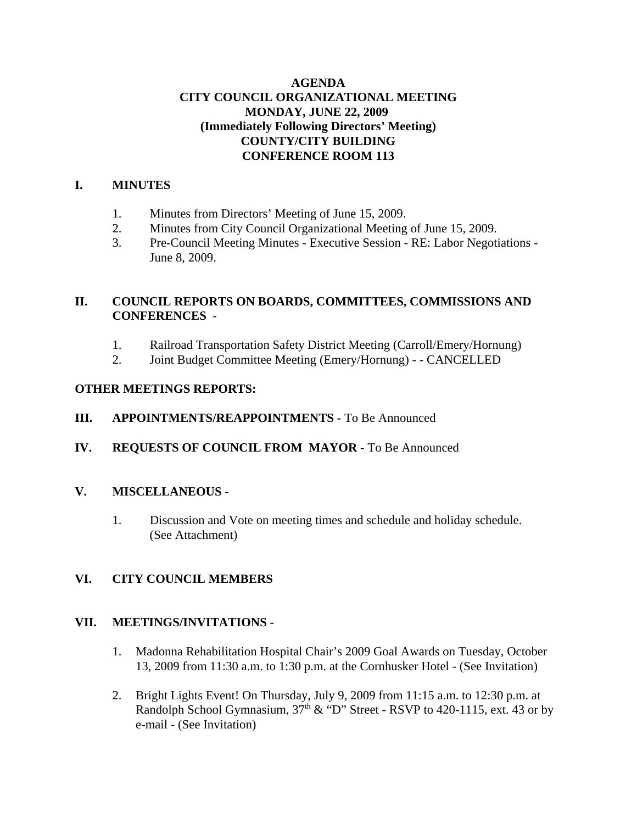## **AGENDA CITY COUNCIL ORGANIZATIONAL MEETING MONDAY, JUNE 22, 2009 (Immediately Following Directors' Meeting) COUNTY/CITY BUILDING CONFERENCE ROOM 113**

## **I. MINUTES**

- 1. Minutes from Directors' Meeting of June 15, 2009.
- 2. Minutes from City Council Organizational Meeting of June 15, 2009.
- 3. Pre-Council Meeting Minutes Executive Session RE: Labor Negotiations June 8, 2009.

## **II. COUNCIL REPORTS ON BOARDS, COMMITTEES, COMMISSIONS AND CONFERENCES** -

- 1. Railroad Transportation Safety District Meeting (Carroll/Emery/Hornung)
- 2. Joint Budget Committee Meeting (Emery/Hornung) - CANCELLED

## **OTHER MEETINGS REPORTS:**

- **III. APPOINTMENTS/REAPPOINTMENTS -** To Be Announced
- **IV. REQUESTS OF COUNCIL FROM MAYOR -** To Be Announced

## **V. MISCELLANEOUS -**

1. Discussion and Vote on meeting times and schedule and holiday schedule. (See Attachment)

## **VI. CITY COUNCIL MEMBERS**

#### **VII. MEETINGS/INVITATIONS -**

- 1. Madonna Rehabilitation Hospital Chair's 2009 Goal Awards on Tuesday, October 13, 2009 from 11:30 a.m. to 1:30 p.m. at the Cornhusker Hotel - (See Invitation)
- 2. Bright Lights Event! On Thursday, July 9, 2009 from 11:15 a.m. to 12:30 p.m. at Randolph School Gymnasium,  $37<sup>th</sup>$  & "D" Street - RSVP to 420-1115, ext. 43 or by e-mail - (See Invitation)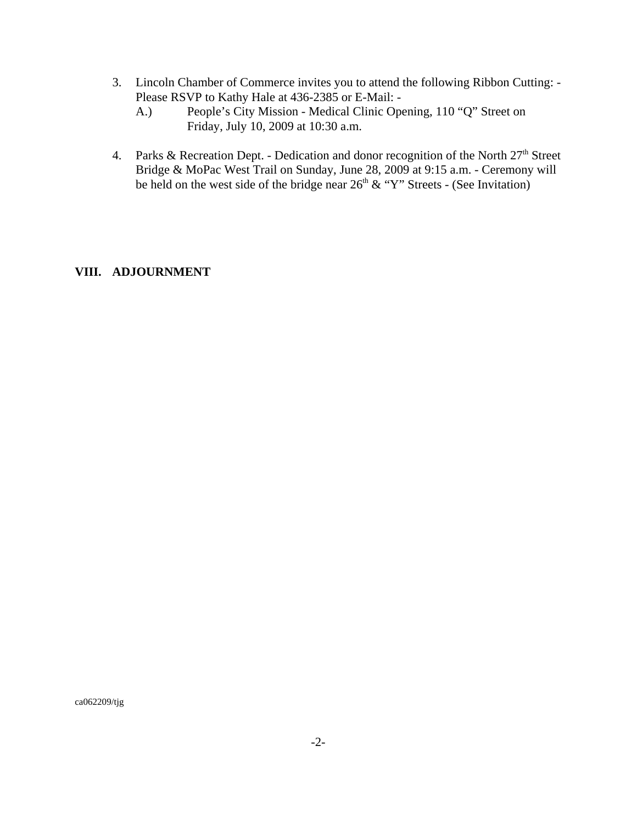- 3. Lincoln Chamber of Commerce invites you to attend the following Ribbon Cutting: Please RSVP to Kathy Hale at 436-2385 or E-Mail: -
	- A.) People's City Mission Medical Clinic Opening, 110 "Q" Street on Friday, July 10, 2009 at 10:30 a.m.
- 4. Parks & Recreation Dept. Dedication and donor recognition of the North  $27<sup>th</sup>$  Street Bridge & MoPac West Trail on Sunday, June 28, 2009 at 9:15 a.m. - Ceremony will be held on the west side of the bridge near  $26<sup>th</sup>$  & "Y" Streets - (See Invitation)

#### **VIII. ADJOURNMENT**

ca062209/tjg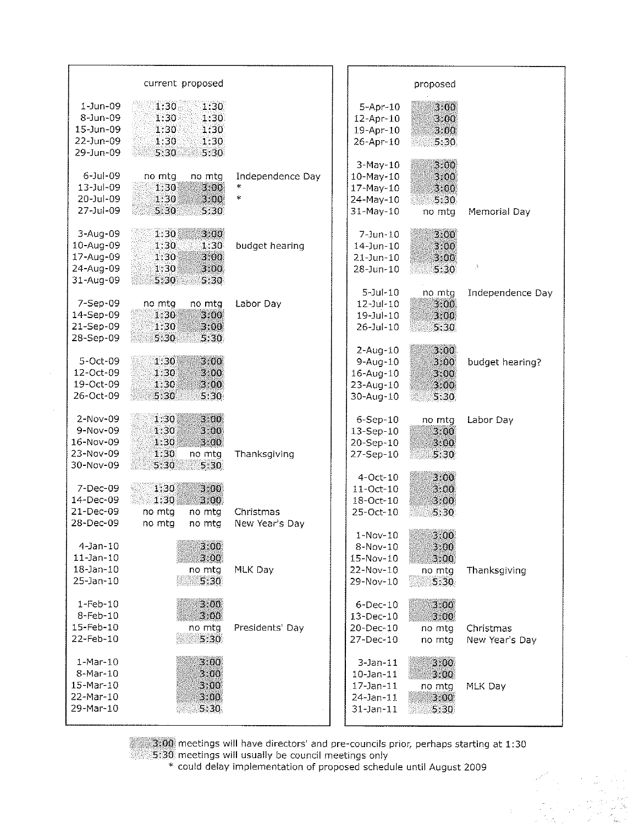|                 | current proposed |                  |                 | proposed |                    |
|-----------------|------------------|------------------|-----------------|----------|--------------------|
| $1$ -Jun-09     | 1:30<br>1:30     |                  | $5 - Apr - 10$  | 3:00     |                    |
| 8-Jun-09        | 1:30<br>1:30     |                  | 12-Apr-10       | 3.00     |                    |
| 15-Jun-09       | 1:30<br>1:30     |                  | 19-Apr-10       | 3:00     |                    |
| 22-Jun-09       | 1:30<br>1:30     |                  | 26-Apr-10       | 5:30     |                    |
| 29-Jun-09       | 5:30<br>5:30     |                  |                 |          |                    |
|                 |                  |                  | 3-May-10        | 3:00     |                    |
| $6 -$ Jul $-09$ | no mtg           | Independence Day |                 |          |                    |
| 13-Jul-09       | no mtg           |                  | $10-May-10$     | 3.00     |                    |
|                 | 1:30<br>3:00     | $\star$          | 17-May-10       | 3:00     |                    |
| 20-Jul-09       | 1:30<br>3:00     |                  | 24-May-10       | 5:30     |                    |
| 27-Jul-09       | 5:30<br>5:30     |                  | 31-May-10       | no mtg   | Memorial Day       |
| 3-Aug-09        | 1:30<br>3:00     |                  | $7 - Jun - 10$  | 3:00     |                    |
| 10-Aug-09       | 1:30<br>1:30     | budget hearing   | $14 - Jun - 10$ | 3:00     |                    |
| 17-Aug-09       | 1:30<br>3:00     |                  | $21 - Jun - 10$ | 3:00     |                    |
| 24-Aug-09       | 1:30<br>3:00     |                  | 28-Jun-10       | 5:30     | $\cdot^\mathrm{1}$ |
| 31-Aug-09       | 5:30<br>5:30     |                  |                 |          |                    |
|                 |                  |                  | $5 -$ Jul $-10$ | no mtg   | Independence Day   |
| 7-Sep-09        | no mtg<br>no mta | Labor Day        | $12 - Jul - 10$ | 3:00     |                    |
| 14-Sep-09       | 1:30<br>3.00     |                  | $19 - Jul - 10$ | 3.00     |                    |
| 21-Sep-09       | 1:30<br>3:00     |                  | 26-Jul-10       | 5:30     |                    |
| 28-Sep-09       | 5:30<br>5:30     |                  |                 |          |                    |
|                 |                  |                  | $2-Aug-10$      | 3:00     |                    |
| 5-Oct-09        | 1:30<br>3:00     |                  | $9$ -Aug-10     | 3.00     | budget hearing?    |
| 12-Oct-09       | 1:30<br>3.00     |                  | 16-Aug-10       | 3.00     |                    |
| 19-Oct-09       | 1:30<br>3:00     |                  | 23-Aug-10       | 3:00     |                    |
| 26-Oct-09       | 5:30<br>5:30     |                  | 30-Aug-10       | 5:30     |                    |
|                 |                  |                  |                 |          |                    |
| 2-Nov-09        | 3.00<br>1:30     |                  | $6-Sep-10$      | no mtg   | Labor Day          |
| 9-Nov-09        | 1:30<br>3:00     |                  | 13-Sep-10       | 3:00     |                    |
| 16-Nov-09       | 1:30<br>3:00     |                  | 20-Sep-10       | 3.00     |                    |
| 23-Nov-09       | 1:30<br>no mtg   | Thanksgiving     | 27-Sep-10       | 5:30     |                    |
| 30-Nov-09       | 5:30<br>5:30     |                  | $4$ -Oct- $10$  | 3.00     |                    |
| 7-Dec-09        | 3:00<br>1:30     |                  | 11-Oct-10       | 3.00     |                    |
| 14-Dec-09       | 1:30<br>3:00     |                  |                 |          |                    |
|                 |                  |                  | 18-Oct-10       | 3:00     |                    |
| 21-Dec-09       | no mtg<br>no mtg | Christmas        | 25-Oct-10       | 5:30     |                    |
| 28-Dec-09       | no mtg<br>no mtg | New Year's Day   |                 |          |                    |
|                 | 3:00             |                  | 1-Nov-10        | 3.00     |                    |
| 4-Jan-10        |                  |                  | 8-Nov-10        | 3:00     |                    |
| $11$ -Jan- $10$ | 3:00             |                  | 15-Nov-10       | 3:00     |                    |
| 18-Jan-10       | no mtg           | MLK Day          | 22-Nov-10       | no mtg   | Thanksgiving       |
| 25-Jan-10       | 5:30             |                  | 29-Nov-10       | 5:30     |                    |
| $1-Feb-10$      | 3:00             |                  | $6$ -Dec-10     | 3.00     |                    |
| 8-Feb-10        | 3:00             |                  | 13-Dec-10       | 3.00     |                    |
| 15-Feb-10       | no mtg           | Presidents' Day  | 20-Dec-10       | no mtg   | Christmas          |
| 22-Feb-10       | 5:30             |                  | 27-Dec-10       | no mtg   | New Year's Day     |
| $1-Mar-10$      | 3.00             |                  | $3-$ Jan $-11$  | 3:00     |                    |
| 8-Mar-10        | 3:00             |                  | $10 - Jan - 11$ | 3:00     |                    |
| 15-Mar-10       | 3:00             |                  | $17$ -Jan- $11$ |          |                    |
| 22-Mar-10       | 3:00             |                  |                 | no mtg   | MLK Day            |
| 29-Mar-10       | 5:30             |                  | $24$ -Jan-11    | 3:00     |                    |
|                 |                  |                  | $31$ -Jan-11    | 5:30     |                    |
|                 |                  |                  |                 |          |                    |

 $\hat{\boldsymbol{\beta}}$ 

3:00 meetings will have directors' and pre-councils prior, perhaps starting at 1:30 5:30 meetings will usually be council meetings only<br>\* could delay implementation of proposed schedule until August 2009

 $\hat{\sigma}_{\rm{eff}}=0$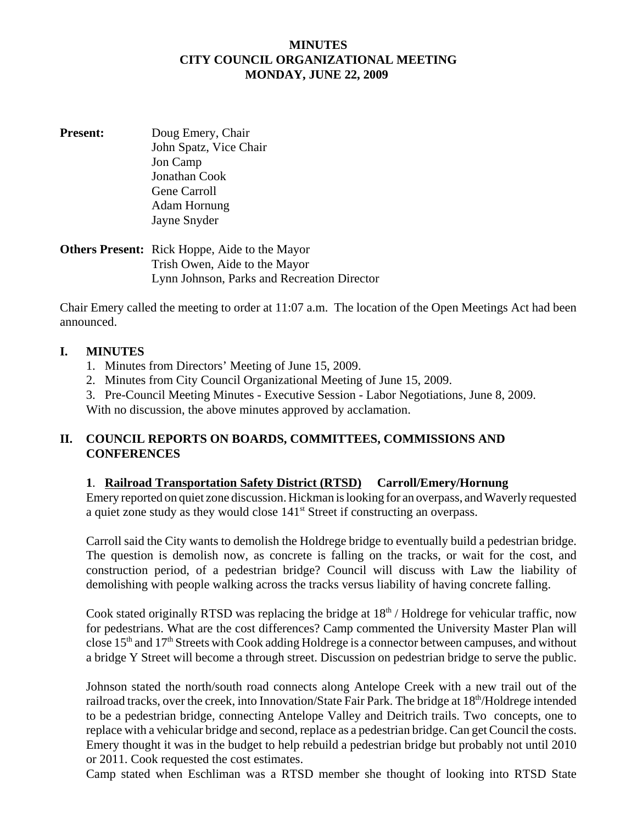#### **MINUTES CITY COUNCIL ORGANIZATIONAL MEETING MONDAY, JUNE 22, 2009**

**Present:** Doug Emery, Chair John Spatz, Vice Chair Jon Camp Jonathan Cook Gene Carroll Adam Hornung Jayne Snyder

#### **Others Present:** Rick Hoppe, Aide to the Mayor Trish Owen, Aide to the Mayor Lynn Johnson, Parks and Recreation Director

Chair Emery called the meeting to order at 11:07 a.m. The location of the Open Meetings Act had been announced.

#### **I. MINUTES**

- 1. Minutes from Directors' Meeting of June 15, 2009.
- 2. Minutes from City Council Organizational Meeting of June 15, 2009.
- 3. Pre-Council Meeting Minutes Executive Session Labor Negotiations, June 8, 2009.

With no discussion, the above minutes approved by acclamation.

## **II. COUNCIL REPORTS ON BOARDS, COMMITTEES, COMMISSIONS AND CONFERENCES**

## **1**. **Railroad Transportation Safety District (RTSD) Carroll/Emery/Hornung**

Emery reported on quiet zone discussion. Hickman is looking for an overpass, and Waverly requested a quiet zone study as they would close 141<sup>st</sup> Street if constructing an overpass.

Carroll said the City wants to demolish the Holdrege bridge to eventually build a pedestrian bridge. The question is demolish now, as concrete is falling on the tracks, or wait for the cost, and construction period, of a pedestrian bridge? Council will discuss with Law the liability of demolishing with people walking across the tracks versus liability of having concrete falling.

Cook stated originally RTSD was replacing the bridge at  $18<sup>th</sup>$  / Holdrege for vehicular traffic, now for pedestrians. What are the cost differences? Camp commented the University Master Plan will close  $15<sup>th</sup>$  and  $17<sup>th</sup>$  Streets with Cook adding Holdrege is a connector between campuses, and without a bridge Y Street will become a through street. Discussion on pedestrian bridge to serve the public.

Johnson stated the north/south road connects along Antelope Creek with a new trail out of the railroad tracks, over the creek, into Innovation/State Fair Park. The bridge at 18<sup>th</sup>/Holdrege intended to be a pedestrian bridge, connecting Antelope Valley and Deitrich trails. Two concepts, one to replace with a vehicular bridge and second, replace as a pedestrian bridge. Can get Council the costs. Emery thought it was in the budget to help rebuild a pedestrian bridge but probably not until 2010 or 2011. Cook requested the cost estimates.

Camp stated when Eschliman was a RTSD member she thought of looking into RTSD State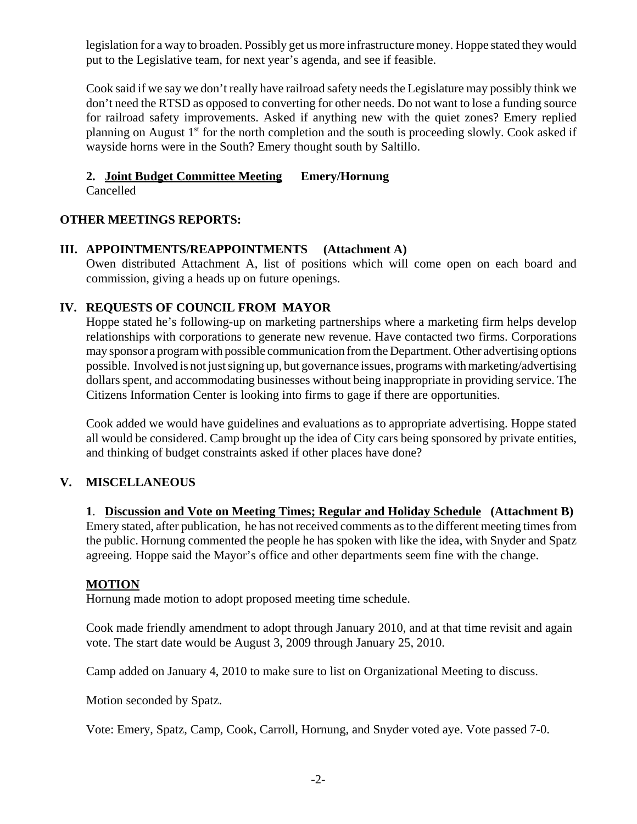legislation for a way to broaden. Possibly get us more infrastructure money. Hoppe stated they would put to the Legislative team, for next year's agenda, and see if feasible.

Cook said if we say we don't really have railroad safety needs the Legislature may possibly think we don't need the RTSD as opposed to converting for other needs. Do not want to lose a funding source for railroad safety improvements. Asked if anything new with the quiet zones? Emery replied planning on August  $1<sup>st</sup>$  for the north completion and the south is proceeding slowly. Cook asked if wayside horns were in the South? Emery thought south by Saltillo.

# **2. Joint Budget Committee Meeting Emery/Hornung**

Cancelled

# **OTHER MEETINGS REPORTS:**

## **III. APPOINTMENTS/REAPPOINTMENTS (Attachment A)**

Owen distributed Attachment A, list of positions which will come open on each board and commission, giving a heads up on future openings.

## **IV. REQUESTS OF COUNCIL FROM MAYOR**

Hoppe stated he's following-up on marketing partnerships where a marketing firm helps develop relationships with corporations to generate new revenue. Have contacted two firms. Corporations may sponsor a program with possible communication from the Department. Other advertising options possible. Involved is not just signing up, but governance issues, programs with marketing/advertising dollars spent, and accommodating businesses without being inappropriate in providing service. The Citizens Information Center is looking into firms to gage if there are opportunities.

Cook added we would have guidelines and evaluations as to appropriate advertising. Hoppe stated all would be considered. Camp brought up the idea of City cars being sponsored by private entities, and thinking of budget constraints asked if other places have done?

# **V. MISCELLANEOUS**

#### **1**. **Discussion and Vote on Meeting Times; Regular and Holiday Schedule (Attachment B)** Emery stated, after publication, he has not received comments as to the different meeting times from the public. Hornung commented the people he has spoken with like the idea, with Snyder and Spatz agreeing. Hoppe said the Mayor's office and other departments seem fine with the change.

## **MOTION**

Hornung made motion to adopt proposed meeting time schedule.

Cook made friendly amendment to adopt through January 2010, and at that time revisit and again vote. The start date would be August 3, 2009 through January 25, 2010.

Camp added on January 4, 2010 to make sure to list on Organizational Meeting to discuss.

Motion seconded by Spatz.

Vote: Emery, Spatz, Camp, Cook, Carroll, Hornung, and Snyder voted aye. Vote passed 7-0.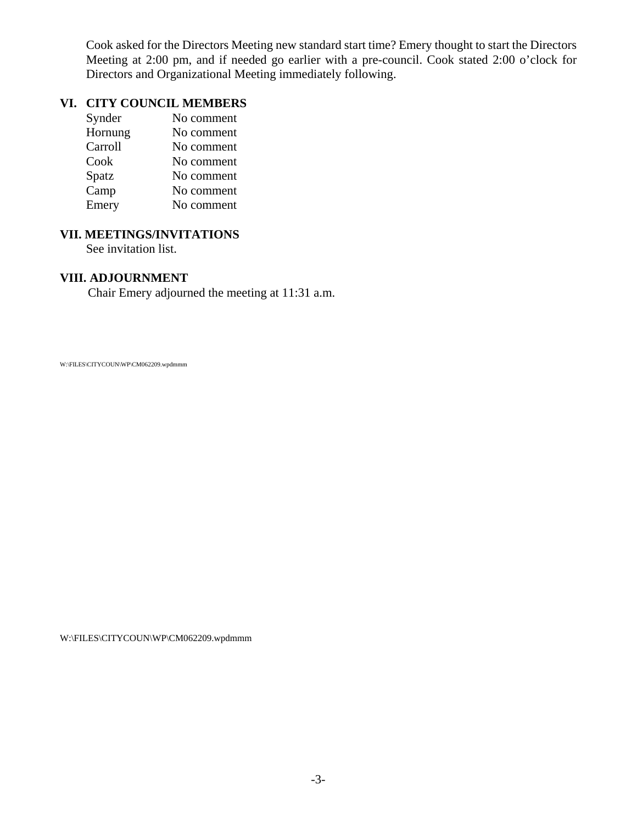Cook asked for the Directors Meeting new standard start time? Emery thought to start the Directors Meeting at 2:00 pm, and if needed go earlier with a pre-council. Cook stated 2:00 o'clock for Directors and Organizational Meeting immediately following.

#### **VI. CITY COUNCIL MEMBERS**

| Synder  | No comment |
|---------|------------|
| Hornung | No comment |
| Carroll | No comment |
| Cook    | No comment |
| Spatz   | No comment |
| Camp    | No comment |
| Emery   | No comment |

# **VII. MEETINGS/INVITATIONS**

See invitation list.

#### **VIII. ADJOURNMENT**

Chair Emery adjourned the meeting at 11:31 a.m.

W:\FILES\CITYCOUN\WP\CM062209.wpdmmm

W:\FILES\CITYCOUN\WP\CM062209.wpdmmm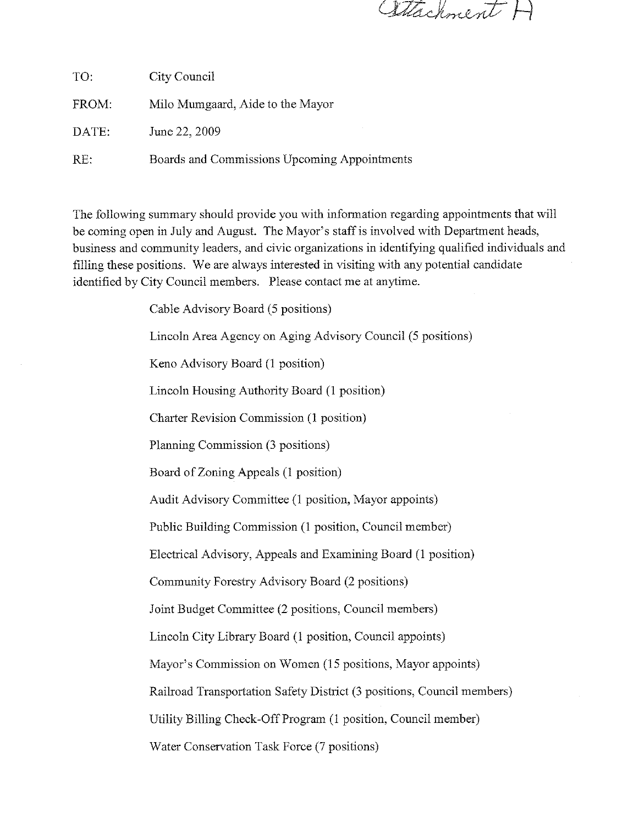Attachment F

| TO:   | City Council                                 |
|-------|----------------------------------------------|
| FROM: | Milo Mumgaard, Aide to the Mayor             |
| DATE: | June 22, 2009                                |
| RE:   | Boards and Commissions Upcoming Appointments |

The following summary should provide you with information regarding appointments that will be coming open in July and August. The Mayor's staff is involved with Department heads, business and community leaders, and civic organizations in identifying qualified individuals and filling these positions. We are always interested in visiting with any potential candidate identified by City Council members. Please contact me at anytime.

Cable Advisory Board (5 positions)

Lincoln Area Agency on Aging Advisory Council (5 positions)

Keno Advisory Board (1 position)

Lincoln Housing Authority Board (1 position)

Charter Revision Commission (1 position)

Planning Commission (3 positions)

Board of Zoning Appeals (1 position)

Audit Advisory Committee (1 position, Mayor appoints)

Public Building Commission (1 position, Council member)

Electrical Advisory, Appeals and Examining Board (1 position)

Community Forestry Advisory Board (2 positions)

Joint Budget Committee (2 positions, Council members)

Lincoln City Library Board (1 position, Council appoints)

Mayor's Commission on Women (15 positions, Mayor appoints)

Railroad Transportation Safety District (3 positions, Council members)

Utility Billing Check-Off Program (1 position, Council member)

Water Conservation Task Force (7 positions)